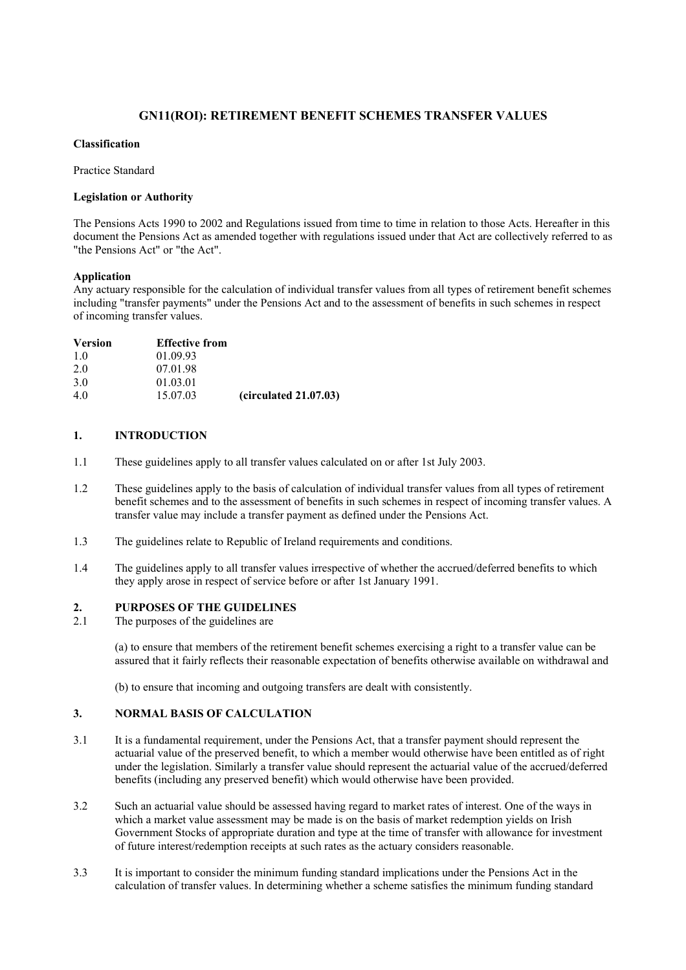# **GN11(ROI): RETIREMENT BENEFIT SCHEMES TRANSFER VALUES**

#### **Classification**

Practice Standard

#### **Legislation or Authority**

The Pensions Acts 1990 to 2002 and Regulations issued from time to time in relation to those Acts. Hereafter in this document the Pensions Act as amended together with regulations issued under that Act are collectively referred to as "the Pensions Act" or "the Act".

# **Application**

Any actuary responsible for the calculation of individual transfer values from all types of retirement benefit schemes including "transfer payments" under the Pensions Act and to the assessment of benefits in such schemes in respect of incoming transfer values.

| <b>Version</b> | <b>Effective from</b> |                       |
|----------------|-----------------------|-----------------------|
| 10             | 01.09.93              |                       |
| 2.0            | 07.01.98              |                       |
| 3.0            | 01.03.01              |                       |
| 40             | 15.07.03              | (circulated 21.07.03) |

## **1. INTRODUCTION**

- 1.1 These guidelines apply to all transfer values calculated on or after 1st July 2003.
- 1.2 These guidelines apply to the basis of calculation of individual transfer values from all types of retirement benefit schemes and to the assessment of benefits in such schemes in respect of incoming transfer values. A transfer value may include a transfer payment as defined under the Pensions Act.
- 1.3 The guidelines relate to Republic of Ireland requirements and conditions.
- 1.4 The guidelines apply to all transfer values irrespective of whether the accrued/deferred benefits to which they apply arose in respect of service before or after 1st January 1991.

# **2.** PURPOSES OF THE GUIDELINES 2.1 The nurnoses of the guidelines are

The purposes of the guidelines are

(a) to ensure that members of the retirement benefit schemes exercising a right to a transfer value can be assured that it fairly reflects their reasonable expectation of benefits otherwise available on withdrawal and

(b) to ensure that incoming and outgoing transfers are dealt with consistently.

#### **3. NORMAL BASIS OF CALCULATION**

- 3.1 It is a fundamental requirement, under the Pensions Act, that a transfer payment should represent the actuarial value of the preserved benefit, to which a member would otherwise have been entitled as of right under the legislation. Similarly a transfer value should represent the actuarial value of the accrued/deferred benefits (including any preserved benefit) which would otherwise have been provided.
- 3.2 Such an actuarial value should be assessed having regard to market rates of interest. One of the ways in which a market value assessment may be made is on the basis of market redemption yields on Irish Government Stocks of appropriate duration and type at the time of transfer with allowance for investment of future interest/redemption receipts at such rates as the actuary considers reasonable.
- 3.3 It is important to consider the minimum funding standard implications under the Pensions Act in the calculation of transfer values. In determining whether a scheme satisfies the minimum funding standard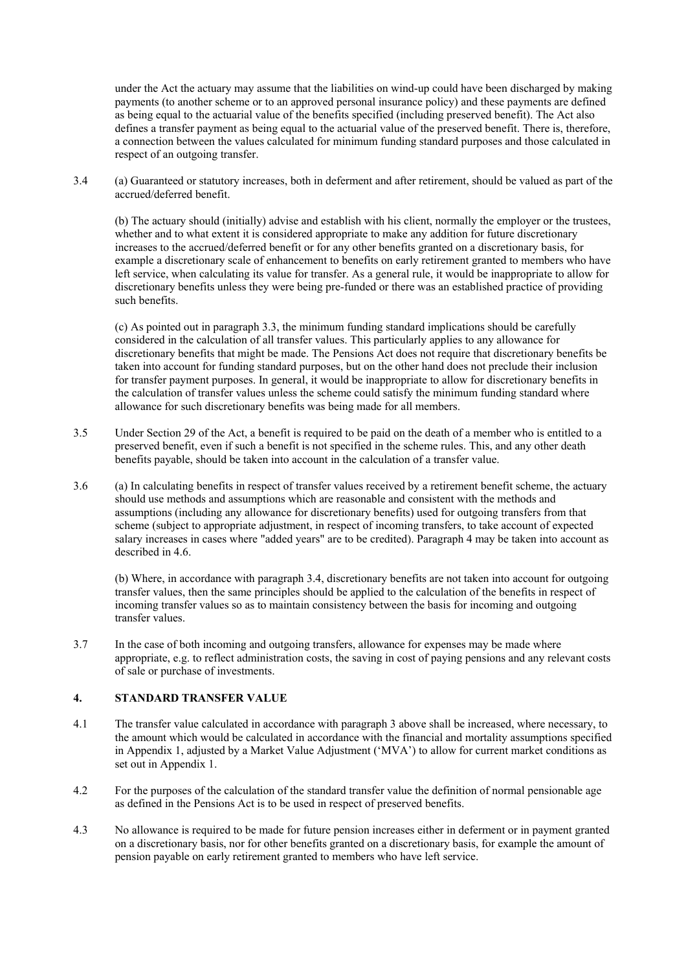under the Act the actuary may assume that the liabilities on wind-up could have been discharged by making payments (to another scheme or to an approved personal insurance policy) and these payments are defined as being equal to the actuarial value of the benefits specified (including preserved benefit). The Act also defines a transfer payment as being equal to the actuarial value of the preserved benefit. There is, therefore, a connection between the values calculated for minimum funding standard purposes and those calculated in respect of an outgoing transfer.

3.4 (a) Guaranteed or statutory increases, both in deferment and after retirement, should be valued as part of the accrued/deferred benefit.

(b) The actuary should (initially) advise and establish with his client, normally the employer or the trustees, whether and to what extent it is considered appropriate to make any addition for future discretionary increases to the accrued/deferred benefit or for any other benefits granted on a discretionary basis, for example a discretionary scale of enhancement to benefits on early retirement granted to members who have left service, when calculating its value for transfer. As a general rule, it would be inappropriate to allow for discretionary benefits unless they were being pre-funded or there was an established practice of providing such benefits.

(c) As pointed out in paragraph 3.3, the minimum funding standard implications should be carefully considered in the calculation of all transfer values. This particularly applies to any allowance for discretionary benefits that might be made. The Pensions Act does not require that discretionary benefits be taken into account for funding standard purposes, but on the other hand does not preclude their inclusion for transfer payment purposes. In general, it would be inappropriate to allow for discretionary benefits in the calculation of transfer values unless the scheme could satisfy the minimum funding standard where allowance for such discretionary benefits was being made for all members.

- 3.5 Under Section 29 of the Act, a benefit is required to be paid on the death of a member who is entitled to a preserved benefit, even if such a benefit is not specified in the scheme rules. This, and any other death benefits payable, should be taken into account in the calculation of a transfer value.
- 3.6 (a) In calculating benefits in respect of transfer values received by a retirement benefit scheme, the actuary should use methods and assumptions which are reasonable and consistent with the methods and assumptions (including any allowance for discretionary benefits) used for outgoing transfers from that scheme (subject to appropriate adjustment, in respect of incoming transfers, to take account of expected salary increases in cases where "added years" are to be credited). Paragraph 4 may be taken into account as described in 4.6.

(b) Where, in accordance with paragraph 3.4, discretionary benefits are not taken into account for outgoing transfer values, then the same principles should be applied to the calculation of the benefits in respect of incoming transfer values so as to maintain consistency between the basis for incoming and outgoing transfer values.

3.7 In the case of both incoming and outgoing transfers, allowance for expenses may be made where appropriate, e.g. to reflect administration costs, the saving in cost of paying pensions and any relevant costs of sale or purchase of investments.

#### **4. STANDARD TRANSFER VALUE**

- 4.1 The transfer value calculated in accordance with paragraph 3 above shall be increased, where necessary, to the amount which would be calculated in accordance with the financial and mortality assumptions specified in Appendix 1, adjusted by a Market Value Adjustment ('MVA') to allow for current market conditions as set out in Appendix 1.
- 4.2 For the purposes of the calculation of the standard transfer value the definition of normal pensionable age as defined in the Pensions Act is to be used in respect of preserved benefits.
- 4.3 No allowance is required to be made for future pension increases either in deferment or in payment granted on a discretionary basis, nor for other benefits granted on a discretionary basis, for example the amount of pension payable on early retirement granted to members who have left service.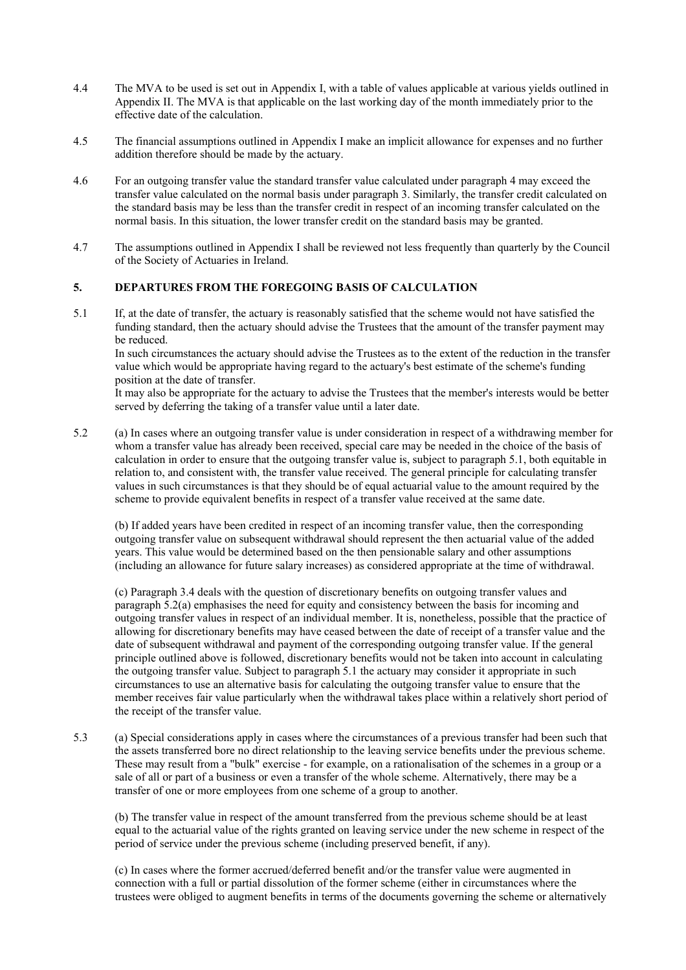- 4.4 The MVA to be used is set out in Appendix I, with a table of values applicable at various yields outlined in Appendix II. The MVA is that applicable on the last working day of the month immediately prior to the effective date of the calculation.
- 4.5 The financial assumptions outlined in Appendix I make an implicit allowance for expenses and no further addition therefore should be made by the actuary.
- 4.6 For an outgoing transfer value the standard transfer value calculated under paragraph 4 may exceed the transfer value calculated on the normal basis under paragraph 3. Similarly, the transfer credit calculated on the standard basis may be less than the transfer credit in respect of an incoming transfer calculated on the normal basis. In this situation, the lower transfer credit on the standard basis may be granted.
- 4.7 The assumptions outlined in Appendix I shall be reviewed not less frequently than quarterly by the Council of the Society of Actuaries in Ireland.

#### **5. DEPARTURES FROM THE FOREGOING BASIS OF CALCULATION**

5.1 If, at the date of transfer, the actuary is reasonably satisfied that the scheme would not have satisfied the funding standard, then the actuary should advise the Trustees that the amount of the transfer payment may be reduced.

In such circumstances the actuary should advise the Trustees as to the extent of the reduction in the transfer value which would be appropriate having regard to the actuary's best estimate of the scheme's funding position at the date of transfer.

It may also be appropriate for the actuary to advise the Trustees that the member's interests would be better served by deferring the taking of a transfer value until a later date.

5.2 (a) In cases where an outgoing transfer value is under consideration in respect of a withdrawing member for whom a transfer value has already been received, special care may be needed in the choice of the basis of calculation in order to ensure that the outgoing transfer value is, subject to paragraph 5.1, both equitable in relation to, and consistent with, the transfer value received. The general principle for calculating transfer values in such circumstances is that they should be of equal actuarial value to the amount required by the scheme to provide equivalent benefits in respect of a transfer value received at the same date.

(b) If added years have been credited in respect of an incoming transfer value, then the corresponding outgoing transfer value on subsequent withdrawal should represent the then actuarial value of the added years. This value would be determined based on the then pensionable salary and other assumptions (including an allowance for future salary increases) as considered appropriate at the time of withdrawal.

(c) Paragraph 3.4 deals with the question of discretionary benefits on outgoing transfer values and paragraph 5.2(a) emphasises the need for equity and consistency between the basis for incoming and outgoing transfer values in respect of an individual member. It is, nonetheless, possible that the practice of allowing for discretionary benefits may have ceased between the date of receipt of a transfer value and the date of subsequent withdrawal and payment of the corresponding outgoing transfer value. If the general principle outlined above is followed, discretionary benefits would not be taken into account in calculating the outgoing transfer value. Subject to paragraph 5.1 the actuary may consider it appropriate in such circumstances to use an alternative basis for calculating the outgoing transfer value to ensure that the member receives fair value particularly when the withdrawal takes place within a relatively short period of the receipt of the transfer value.

5.3 (a) Special considerations apply in cases where the circumstances of a previous transfer had been such that the assets transferred bore no direct relationship to the leaving service benefits under the previous scheme. These may result from a "bulk" exercise - for example, on a rationalisation of the schemes in a group or a sale of all or part of a business or even a transfer of the whole scheme. Alternatively, there may be a transfer of one or more employees from one scheme of a group to another.

(b) The transfer value in respect of the amount transferred from the previous scheme should be at least equal to the actuarial value of the rights granted on leaving service under the new scheme in respect of the period of service under the previous scheme (including preserved benefit, if any).

(c) In cases where the former accrued/deferred benefit and/or the transfer value were augmented in connection with a full or partial dissolution of the former scheme (either in circumstances where the trustees were obliged to augment benefits in terms of the documents governing the scheme or alternatively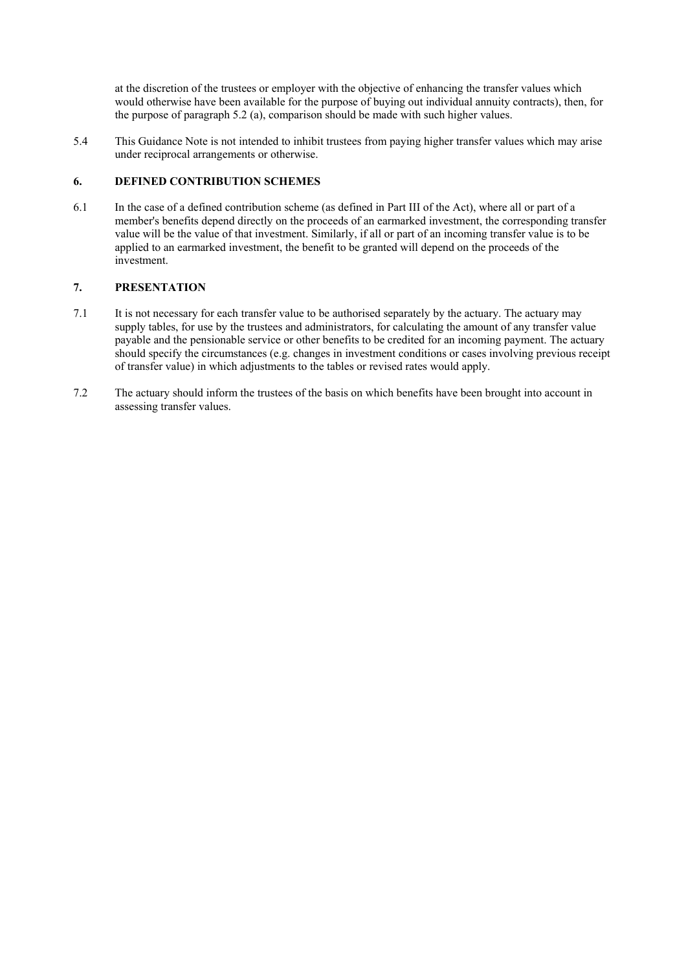at the discretion of the trustees or employer with the objective of enhancing the transfer values which would otherwise have been available for the purpose of buying out individual annuity contracts), then, for the purpose of paragraph 5.2 (a), comparison should be made with such higher values.

5.4 This Guidance Note is not intended to inhibit trustees from paying higher transfer values which may arise under reciprocal arrangements or otherwise.

#### **6. DEFINED CONTRIBUTION SCHEMES**

6.1 In the case of a defined contribution scheme (as defined in Part III of the Act), where all or part of a member's benefits depend directly on the proceeds of an earmarked investment, the corresponding transfer value will be the value of that investment. Similarly, if all or part of an incoming transfer value is to be applied to an earmarked investment, the benefit to be granted will depend on the proceeds of the investment.

# **7. PRESENTATION**

- 7.1 It is not necessary for each transfer value to be authorised separately by the actuary. The actuary may supply tables, for use by the trustees and administrators, for calculating the amount of any transfer value payable and the pensionable service or other benefits to be credited for an incoming payment. The actuary should specify the circumstances (e.g. changes in investment conditions or cases involving previous receipt of transfer value) in which adjustments to the tables or revised rates would apply.
- 7.2 The actuary should inform the trustees of the basis on which benefits have been brought into account in assessing transfer values.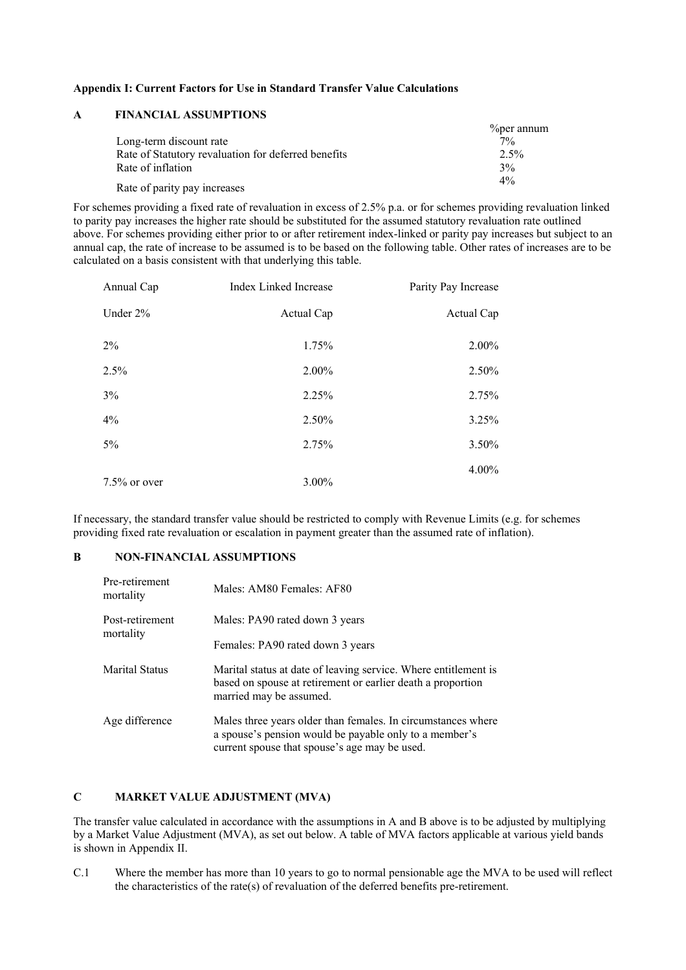#### **Appendix I: Current Factors for Use in Standard Transfer Value Calculations**

# **A FINANCIAL ASSUMPTIONS**

|                                                     | $\%$ per annum |
|-----------------------------------------------------|----------------|
| Long-term discount rate                             | $7\%$          |
| Rate of Statutory revaluation for deferred benefits | $2.5\%$        |
| Rate of inflation                                   | 3%             |
| Rate of parity pay increases                        | $4\%$          |

For schemes providing a fixed rate of revaluation in excess of 2.5% p.a. or for schemes providing revaluation linked to parity pay increases the higher rate should be substituted for the assumed statutory revaluation rate outlined above. For schemes providing either prior to or after retirement index-linked or parity pay increases but subject to an annual cap, the rate of increase to be assumed is to be based on the following table. Other rates of increases are to be calculated on a basis consistent with that underlying this table.

| Annual Cap      | <b>Index Linked Increase</b> | Parity Pay Increase |
|-----------------|------------------------------|---------------------|
| Under 2%        | Actual Cap                   | Actual Cap          |
| 2%              | 1.75%                        | 2.00%               |
| 2.5%            | 2.00%                        | 2.50%               |
| 3%              | 2.25%                        | 2.75%               |
| 4%              | 2.50%                        | 3.25%               |
| $5\%$           | 2.75%                        | 3.50%               |
| $7.5\%$ or over | $3.00\%$                     | 4.00%               |

If necessary, the standard transfer value should be restricted to comply with Revenue Limits (e.g. for schemes providing fixed rate revaluation or escalation in payment greater than the assumed rate of inflation).

#### **B NON-FINANCIAL ASSUMPTIONS**

| Pre-retirement<br>mortality  | Males: AM80 Females: AF80                                                                                                                                               |
|------------------------------|-------------------------------------------------------------------------------------------------------------------------------------------------------------------------|
| Post-retirement<br>mortality | Males: PA90 rated down 3 years                                                                                                                                          |
|                              | Females: PA90 rated down 3 years                                                                                                                                        |
| <b>Marital Status</b>        | Marital status at date of leaving service. Where entitlement is<br>based on spouse at retirement or earlier death a proportion<br>married may be assumed.               |
| Age difference               | Males three years older than females. In circumstances where<br>a spouse's pension would be payable only to a member's<br>current spouse that spouse's age may be used. |

# **C MARKET VALUE ADJUSTMENT (MVA)**

The transfer value calculated in accordance with the assumptions in A and B above is to be adjusted by multiplying by a Market Value Adjustment (MVA), as set out below. A table of MVA factors applicable at various yield bands is shown in Appendix II.

C.1 Where the member has more than 10 years to go to normal pensionable age the MVA to be used will reflect the characteristics of the rate(s) of revaluation of the deferred benefits pre-retirement.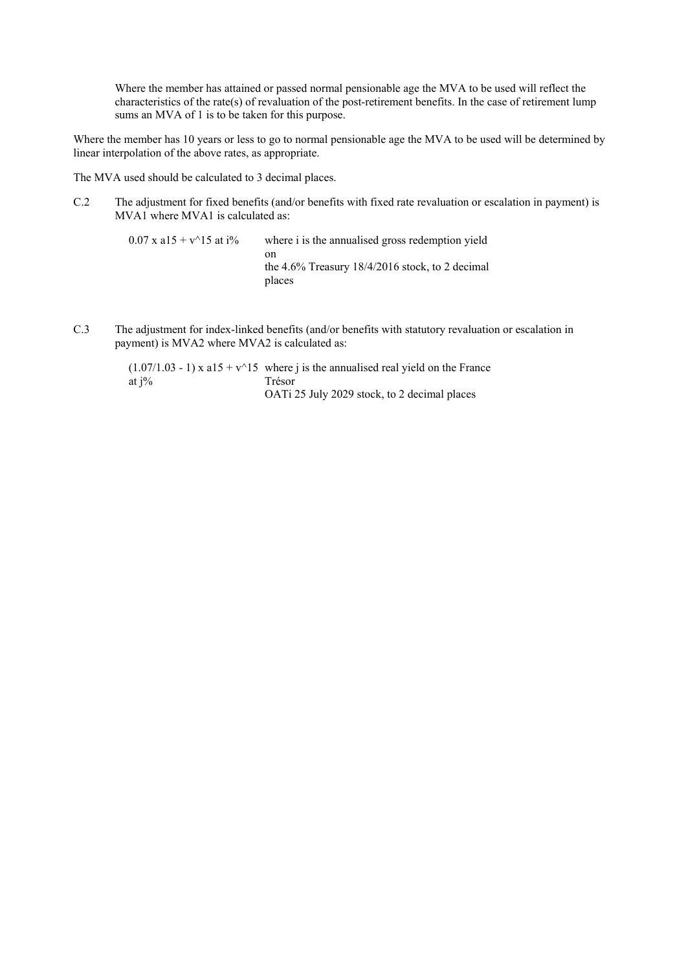Where the member has attained or passed normal pensionable age the MVA to be used will reflect the characteristics of the rate(s) of revaluation of the post-retirement benefits. In the case of retirement lump sums an MVA of 1 is to be taken for this purpose.

Where the member has 10 years or less to go to normal pensionable age the MVA to be used will be determined by linear interpolation of the above rates, as appropriate.

The MVA used should be calculated to 3 decimal places.

C.2 The adjustment for fixed benefits (and/or benefits with fixed rate revaluation or escalation in payment) is MVA1 where MVA1 is calculated as:

 $0.07$  x a15 + v^15 at i% where i is the annualised gross redemption yield on the 4.6% Treasury 18/4/2016 stock, to 2 decimal places

C.3 The adjustment for index-linked benefits (and/or benefits with statutory revaluation or escalation in payment) is MVA2 where MVA2 is calculated as:

> $(1.07/1.03 - 1)$  x a15 + v^15 where j is the annualised real yield on the France at  $i\%$ Trésor OATi 25 July 2029 stock, to 2 decimal places